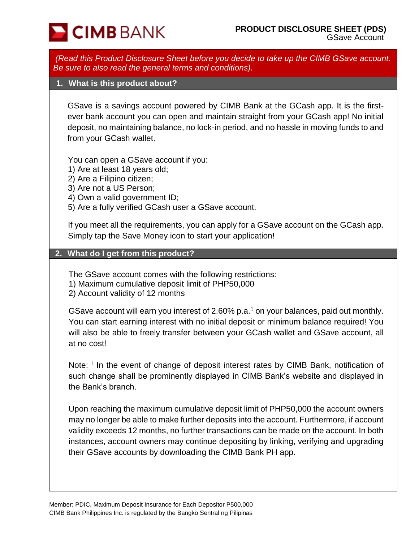

*(Read this Product Disclosure Sheet before you decide to take up the CIMB GSave account. Be sure to also read the general terms and conditions).*

### **1. What is this product about?**

GSave is a savings account powered by CIMB Bank at the GCash app. It is the firstever bank account you can open and maintain straight from your GCash app! No initial deposit, no maintaining balance, no lock-in period, and no hassle in moving funds to and from your GCash wallet.

You can open a GSave account if you:

- 1) Are at least 18 years old;
- 2) Are a Filipino citizen;
- 3) Are not a US Person;
- 4) Own a valid government ID;
- 5) Are a fully verified GCash user a GSave account.

If you meet all the requirements, you can apply for a GSave account on the GCash app. Simply tap the Save Money icon to start your application!

#### **2. What do I get from this product?**

The GSave account comes with the following restrictions:

- 1) Maximum cumulative deposit limit of PHP50,000
- 2) Account validity of 12 months

GSave account will earn you interest of 2.60% p.a.<sup>1</sup> on your balances, paid out monthly. You can start earning interest with no initial deposit or minimum balance required! You will also be able to freely transfer between your GCash wallet and GSave account, all at no cost!

Note: <sup>1</sup> In the event of change of deposit interest rates by CIMB Bank, notification of such change shall be prominently displayed in CIMB Bank's website and displayed in the Bank's branch.

Upon reaching the maximum cumulative deposit limit of PHP50,000 the account owners may no longer be able to make further deposits into the account. Furthermore, if account validity exceeds 12 months, no further transactions can be made on the account. In both instances, account owners may continue depositing by linking, verifying and upgrading their GSave accounts by downloading the CIMB Bank PH app.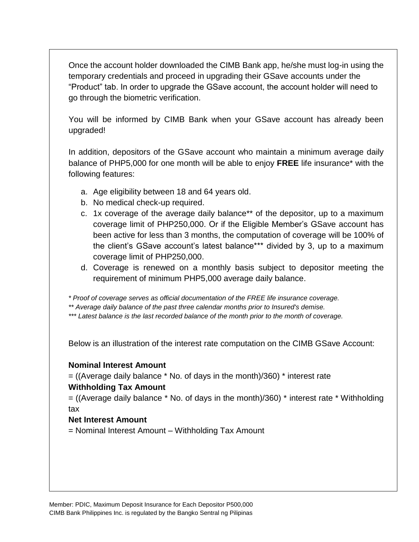Once the account holder downloaded the CIMB Bank app, he/she must log-in using the temporary credentials and proceed in upgrading their GSave accounts under the "Product" tab. In order to upgrade the GSave account, the account holder will need to go through the biometric verification.

You will be informed by CIMB Bank when your GSave account has already been upgraded!

In addition, depositors of the GSave account who maintain a minimum average daily balance of PHP5,000 for one month will be able to enjoy **FREE** life insurance\* with the following features:

- a. Age eligibility between 18 and 64 years old.
- b. No medical check-up required.
- c. 1x coverage of the average daily balance\*\* of the depositor, up to a maximum coverage limit of PHP250,000. Or if the Eligible Member's GSave account has been active for less than 3 months, the computation of coverage will be 100% of the client's GSave account's latest balance\*\*\* divided by 3, up to a maximum coverage limit of PHP250,000.
- d. Coverage is renewed on a monthly basis subject to depositor meeting the requirement of minimum PHP5,000 average daily balance.

*\* Proof of coverage serves as official documentation of the FREE life insurance coverage.*

*\*\* Average daily balance of the past three calendar months prior to Insured's demise.*

*\*\*\* Latest balance is the last recorded balance of the month prior to the month of coverage.*

Below is an illustration of the interest rate computation on the CIMB GSave Account:

### **Nominal Interest Amount**

 $=$  ((Average daily balance  $*$  No. of days in the month)/360)  $*$  interest rate

## **Withholding Tax Amount**

 $=$  ((Average daily balance  $*$  No. of days in the month)/360)  $*$  interest rate  $*$  Withholding tax

## **Net Interest Amount**

= Nominal Interest Amount – Withholding Tax Amount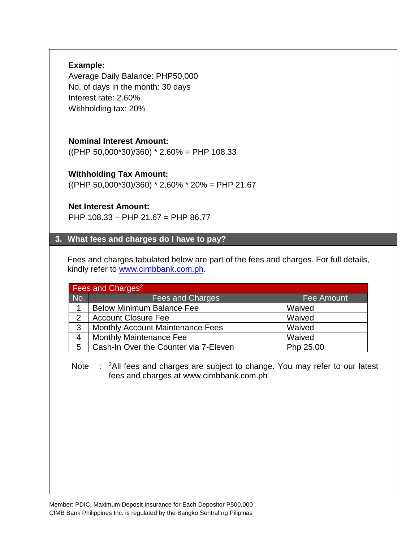## **Example:**

Average Daily Balance: PHP50,000 No. of days in the month: 30 days Interest rate: 2.60% Withholding tax: 20%

## **Nominal Interest Amount:**

 $((PHP 50,000*30)/360)*2.60% = PHP 108.33$ 

## **Withholding Tax Amount:**

 $((PHP 50,000*30)/360)*2.60% * 20% = PHP 21.67$ 

### **Net Interest Amount:**

PHP 108.33 – PHP 21.67 = PHP 86.77

### **3. What fees and charges do I have to pay?**

Fees and charges tabulated below are part of the fees and charges. For full details, kindly refer to [www.cimbbank.com.ph.](http://www.cimbbank.com.ph/)

| Fees and Charges <sup>2</sup> |                                         |           |  |  |
|-------------------------------|-----------------------------------------|-----------|--|--|
| No.                           | Fees and Charges<br>Fee Amount          |           |  |  |
| 1                             | <b>Below Minimum Balance Fee</b>        | Waived    |  |  |
| 2                             | <b>Account Closure Fee</b>              | Waived    |  |  |
| 3                             | <b>Monthly Account Maintenance Fees</b> | Waived    |  |  |
| 4                             | <b>Monthly Maintenance Fee</b>          | Waived    |  |  |
| 5                             | Cash-In Over the Counter via 7-Eleven   | Php 25.00 |  |  |

Note : <sup>2</sup>All fees and charges are subject to change. You may refer to our latest fees and charges at www.cimbbank.com.ph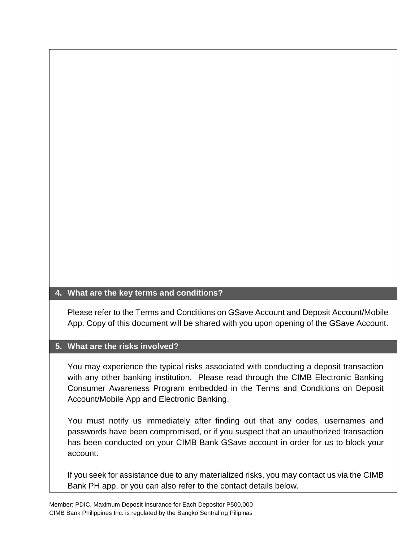### **4. What are the key terms and conditions?**

Please refer to the Terms and Conditions on GSave Account and Deposit Account/Mobile App. Copy of this document will be shared with you upon opening of the GSave Account.

### **5. What are the risks involved?**

You may experience the typical risks associated with conducting a deposit transaction with any other banking institution. Please read through the CIMB Electronic Banking Consumer Awareness Program embedded in the Terms and Conditions on Deposit Account/Mobile App and Electronic Banking.

You must notify us immediately after finding out that any codes, usernames and passwords have been compromised, or if you suspect that an unauthorized transaction has been conducted on your CIMB Bank GSave account in order for us to block your account.

If you seek for assistance due to any materialized risks, you may contact us via the CIMB Bank PH app, or you can also refer to the contact details below.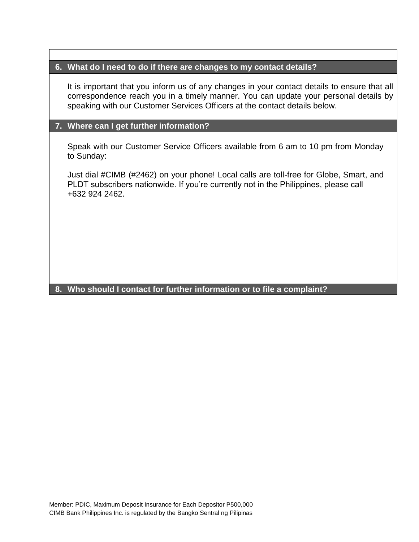### **6. What do I need to do if there are changes to my contact details?**

It is important that you inform us of any changes in your contact details to ensure that all correspondence reach you in a timely manner. You can update your personal details by speaking with our Customer Services Officers at the contact details below.

## **7. Where can I get further information?**

Speak with our Customer Service Officers available from 6 am to 10 pm from Monday to Sunday:

Just dial #CIMB (#2462) on your phone! Local calls are toll-free for Globe, Smart, and PLDT subscribers nationwide. If you're currently not in the Philippines, please call +632 924 2462.

# **8. Who should I contact for further information or to file a complaint?**